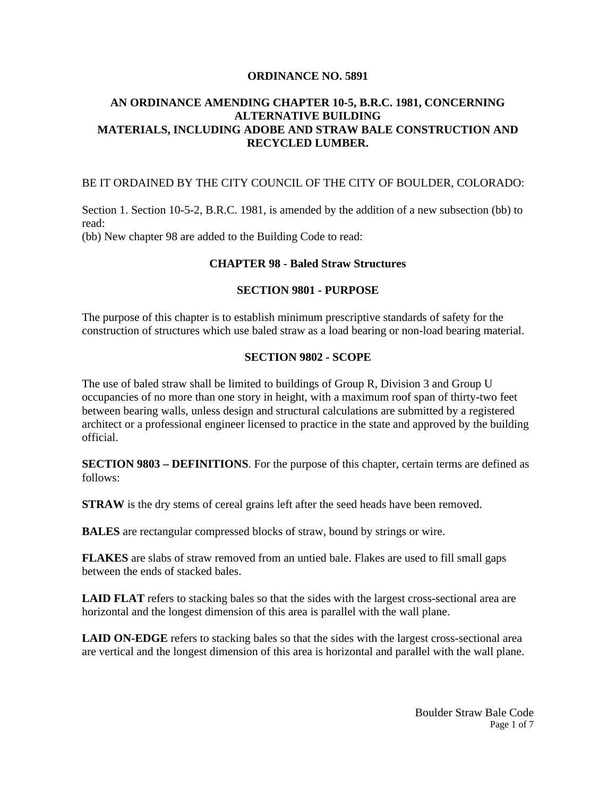### **ORDINANCE NO. 5891**

# **AN ORDINANCE AMENDING CHAPTER 10-5, B.R.C. 1981, CONCERNING ALTERNATIVE BUILDING MATERIALS, INCLUDING ADOBE AND STRAW BALE CONSTRUCTION AND RECYCLED LUMBER.**

#### BE IT ORDAINED BY THE CITY COUNCIL OF THE CITY OF BOULDER, COLORADO:

Section 1. Section 10-5-2, B.R.C. 1981, is amended by the addition of a new subsection (bb) to read:

(bb) New chapter 98 are added to the Building Code to read:

#### **CHAPTER 98 - Baled Straw Structures**

### **SECTION 9801 - PURPOSE**

The purpose of this chapter is to establish minimum prescriptive standards of safety for the construction of structures which use baled straw as a load bearing or non-load bearing material.

#### **SECTION 9802 - SCOPE**

The use of baled straw shall be limited to buildings of Group R, Division 3 and Group U occupancies of no more than one story in height, with a maximum roof span of thirty-two feet between bearing walls, unless design and structural calculations are submitted by a registered architect or a professional engineer licensed to practice in the state and approved by the building official.

**SECTION 9803 – DEFINITIONS**. For the purpose of this chapter, certain terms are defined as follows:

**STRAW** is the dry stems of cereal grains left after the seed heads have been removed.

**BALES** are rectangular compressed blocks of straw, bound by strings or wire.

**FLAKES** are slabs of straw removed from an untied bale. Flakes are used to fill small gaps between the ends of stacked bales.

**LAID FLAT** refers to stacking bales so that the sides with the largest cross-sectional area are horizontal and the longest dimension of this area is parallel with the wall plane.

**LAID ON-EDGE** refers to stacking bales so that the sides with the largest cross-sectional area are vertical and the longest dimension of this area is horizontal and parallel with the wall plane.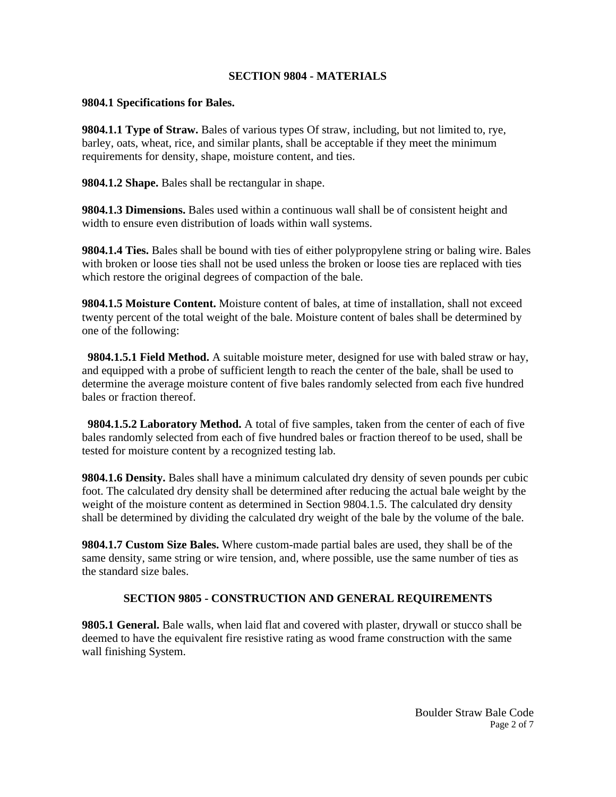## **SECTION 9804 - MATERIALS**

### **9804.1 Specifications for Bales.**

**9804.1.1 Type of Straw.** Bales of various types Of straw, including, but not limited to, rye, barley, oats, wheat, rice, and similar plants, shall be acceptable if they meet the minimum requirements for density, shape, moisture content, and ties.

**9804.1.2 Shape.** Bales shall be rectangular in shape.

**9804.1.3 Dimensions.** Bales used within a continuous wall shall be of consistent height and width to ensure even distribution of loads within wall systems.

**9804.1.4 Ties.** Bales shall be bound with ties of either polypropylene string or baling wire. Bales with broken or loose ties shall not be used unless the broken or loose ties are replaced with ties which restore the original degrees of compaction of the bale.

**9804.1.5 Moisture Content.** Moisture content of bales, at time of installation, shall not exceed twenty percent of the total weight of the bale. Moisture content of bales shall be determined by one of the following:

 **9804.1.5.1 Field Method.** A suitable moisture meter, designed for use with baled straw or hay, and equipped with a probe of sufficient length to reach the center of the bale, shall be used to determine the average moisture content of five bales randomly selected from each five hundred bales or fraction thereof.

 **9804.1.5.2 Laboratory Method.** A total of five samples, taken from the center of each of five bales randomly selected from each of five hundred bales or fraction thereof to be used, shall be tested for moisture content by a recognized testing lab.

**9804.1.6 Density.** Bales shall have a minimum calculated dry density of seven pounds per cubic foot. The calculated dry density shall be determined after reducing the actual bale weight by the weight of the moisture content as determined in Section 9804.1.5. The calculated dry density shall be determined by dividing the calculated dry weight of the bale by the volume of the bale.

**9804.1.7 Custom Size Bales.** Where custom-made partial bales are used, they shall be of the same density, same string or wire tension, and, where possible, use the same number of ties as the standard size bales.

# **SECTION 9805 - CONSTRUCTION AND GENERAL REQUIREMENTS**

**9805.1 General.** Bale walls, when laid flat and covered with plaster, drywall or stucco shall be deemed to have the equivalent fire resistive rating as wood frame construction with the same wall finishing System.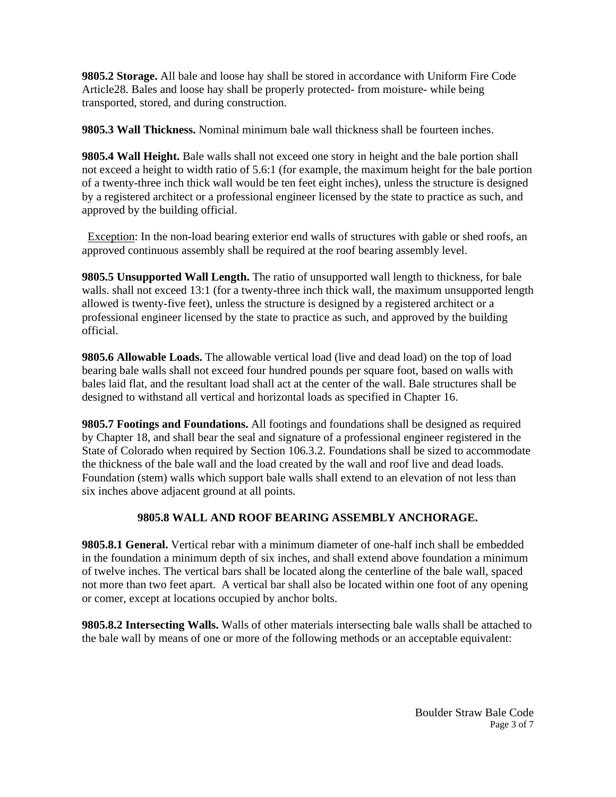**9805.2 Storage.** All bale and loose hay shall be stored in accordance with Uniform Fire Code Article28. Bales and loose hay shall be properly protected- from moisture- while being transported, stored, and during construction.

**9805.3 Wall Thickness.** Nominal minimum bale wall thickness shall be fourteen inches.

**9805.4 Wall Height.** Bale walls shall not exceed one story in height and the bale portion shall not exceed a height to width ratio of 5.6:1 (for example, the maximum height for the bale portion of a twenty-three inch thick wall would be ten feet eight inches), unless the structure is designed by a registered architect or a professional engineer licensed by the state to practice as such, and approved by the building official.

 Exception: In the non-load bearing exterior end walls of structures with gable or shed roofs, an approved continuous assembly shall be required at the roof bearing assembly level.

**9805.5 Unsupported Wall Length.** The ratio of unsupported wall length to thickness, for bale walls. shall not exceed 13:1 (for a twenty-three inch thick wall, the maximum unsupported length allowed is twenty-five feet), unless the structure is designed by a registered architect or a professional engineer licensed by the state to practice as such, and approved by the building official.

**9805.6 Allowable Loads.** The allowable vertical load (live and dead load) on the top of load bearing bale walls shall not exceed four hundred pounds per square foot, based on walls with bales laid flat, and the resultant load shall act at the center of the wall. Bale structures shall be designed to withstand all vertical and horizontal loads as specified in Chapter 16.

**9805.7 Footings and Foundations.** All footings and foundations shall be designed as required by Chapter 18, and shall bear the seal and signature of a professional engineer registered in the State of Colorado when required by Section 106.3.2. Foundations shall be sized to accommodate the thickness of the bale wall and the load created by the wall and roof live and dead loads. Foundation (stem) walls which support bale walls shall extend to an elevation of not less than six inches above adjacent ground at all points.

# **9805.8 WALL AND ROOF BEARING ASSEMBLY ANCHORAGE.**

**9805.8.1 General.** Vertical rebar with a minimum diameter of one-half inch shall be embedded in the foundation a minimum depth of six inches, and shall extend above foundation a minimum of twelve inches. The vertical bars shall be located along the centerline of the bale wall, spaced not more than two feet apart. A vertical bar shall also be located within one foot of any opening or comer, except at locations occupied by anchor bolts.

**9805.8.2 Intersecting Walls.** Walls of other materials intersecting bale walls shall be attached to the bale wall by means of one or more of the following methods or an acceptable equivalent: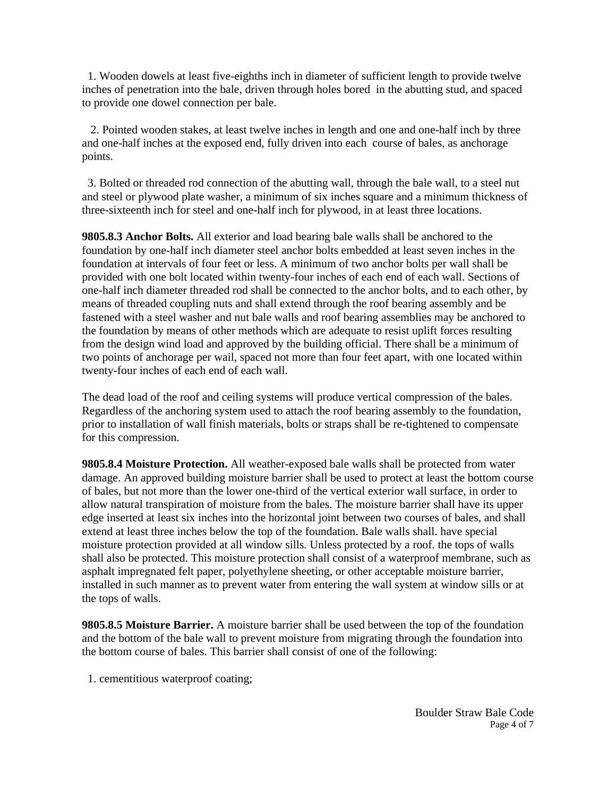1. Wooden dowels at least five-eighths inch in diameter of sufficient length to provide twelve inches of penetration into the bale, driven through holes bored in the abutting stud, and spaced to provide one dowel connection per bale.

 2. Pointed wooden stakes, at least twelve inches in length and one and one-half inch by three and one-half inches at the exposed end, fully driven into each course of bales, as anchorage points.

 3. Bolted or threaded rod connection of the abutting wall, through the bale wall, to a steel nut and steel or plywood plate washer, a minimum of six inches square and a minimum thickness of three-sixteenth inch for steel and one-half inch for plywood, in at least three locations.

**9805.8.3 Anchor Bolts.** All exterior and load bearing bale walls shall be anchored to the foundation by one-half inch diameter steel anchor bolts embedded at least seven inches in the foundation at intervals of four feet or less. A minimum of two anchor bolts per wall shall be provided with one bolt located within twenty-four inches of each end of each wall. Sections of one-half inch diameter threaded rod shall be connected to the anchor bolts, and to each other, by means of threaded coupling nuts and shall extend through the roof bearing assembly and be fastened with a steel washer and nut bale walls and roof bearing assemblies may be anchored to the foundation by means of other methods which are adequate to resist uplift forces resulting from the design wind load and approved by the building official. There shall be a minimum of two points of anchorage per wail, spaced not more than four feet apart, with one located within twenty-four inches of each end of each wall.

The dead load of the roof and ceiling systems will produce vertical compression of the bales. Regardless of the anchoring system used to attach the roof bearing assembly to the foundation, prior to installation of wall finish materials, bolts or straps shall be re-tightened to compensate for this compression.

**9805.8.4 Moisture Protection.** All weather-exposed bale walls shall be protected from water damage. An approved building moisture barrier shall be used to protect at least the bottom course of bales, but not more than the lower one-third of the vertical exterior wall surface, in order to allow natural transpiration of moisture from the bales. The moisture barrier shall have its upper edge inserted at least six inches into the horizontal joint between two courses of bales, and shall extend at least three inches below the top of the foundation. Bale walls shall. have special moisture protection provided at all window sills. Unless protected by a roof. the tops of walls shall also be protected. This moisture protection shall consist of a waterproof membrane, such as asphalt impregnated felt paper, polyethylene sheeting, or other acceptable moisture barrier, installed in such manner as to prevent water from entering the wall system at window sills or at the tops of walls.

**9805.8.5 Moisture Barrier.** A moisture barrier shall be used between the top of the foundation and the bottom of the bale wall to prevent moisture from migrating through the foundation into the bottom course of bales. This barrier shall consist of one of the following:

1. cementitious waterproof coating;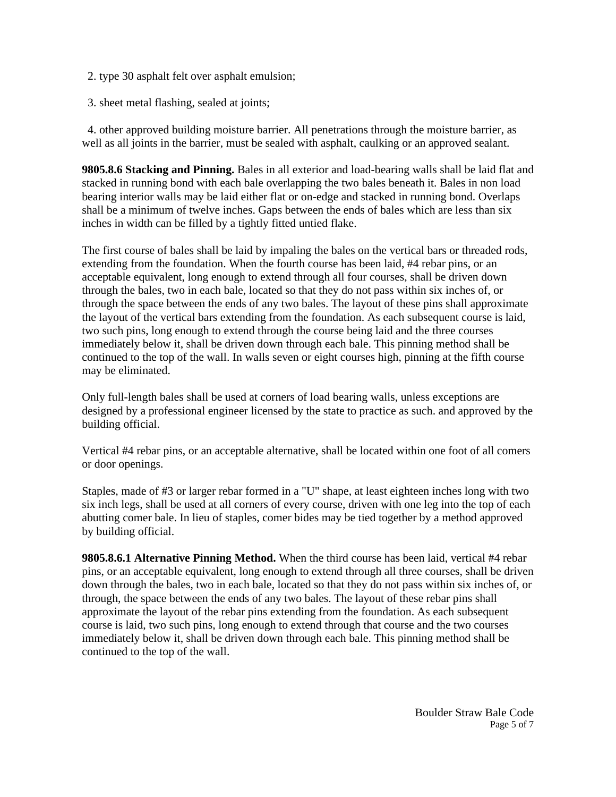- 2. type 30 asphalt felt over asphalt emulsion;
- 3. sheet metal flashing, sealed at joints;

 4. other approved building moisture barrier. All penetrations through the moisture barrier, as well as all joints in the barrier, must be sealed with asphalt, caulking or an approved sealant.

**9805.8.6 Stacking and Pinning.** Bales in all exterior and load-bearing walls shall be laid flat and stacked in running bond with each bale overlapping the two bales beneath it. Bales in non load bearing interior walls may be laid either flat or on-edge and stacked in running bond. Overlaps shall be a minimum of twelve inches. Gaps between the ends of bales which are less than six inches in width can be filled by a tightly fitted untied flake.

The first course of bales shall be laid by impaling the bales on the vertical bars or threaded rods, extending from the foundation. When the fourth course has been laid, #4 rebar pins, or an acceptable equivalent, long enough to extend through all four courses, shall be driven down through the bales, two in each bale, located so that they do not pass within six inches of, or through the space between the ends of any two bales. The layout of these pins shall approximate the layout of the vertical bars extending from the foundation. As each subsequent course is laid, two such pins, long enough to extend through the course being laid and the three courses immediately below it, shall be driven down through each bale. This pinning method shall be continued to the top of the wall. In walls seven or eight courses high, pinning at the fifth course may be eliminated.

Only full-length bales shall be used at corners of load bearing walls, unless exceptions are designed by a professional engineer licensed by the state to practice as such. and approved by the building official.

Vertical #4 rebar pins, or an acceptable alternative, shall be located within one foot of all comers or door openings.

Staples, made of #3 or larger rebar formed in a "U" shape, at least eighteen inches long with two six inch legs, shall be used at all corners of every course, driven with one leg into the top of each abutting comer bale. In lieu of staples, comer bides may be tied together by a method approved by building official.

**9805.8.6.1 Alternative Pinning Method.** When the third course has been laid, vertical #4 rebar pins, or an acceptable equivalent, long enough to extend through all three courses, shall be driven down through the bales, two in each bale, located so that they do not pass within six inches of, or through, the space between the ends of any two bales. The layout of these rebar pins shall approximate the layout of the rebar pins extending from the foundation. As each subsequent course is laid, two such pins, long enough to extend through that course and the two courses immediately below it, shall be driven down through each bale. This pinning method shall be continued to the top of the wall.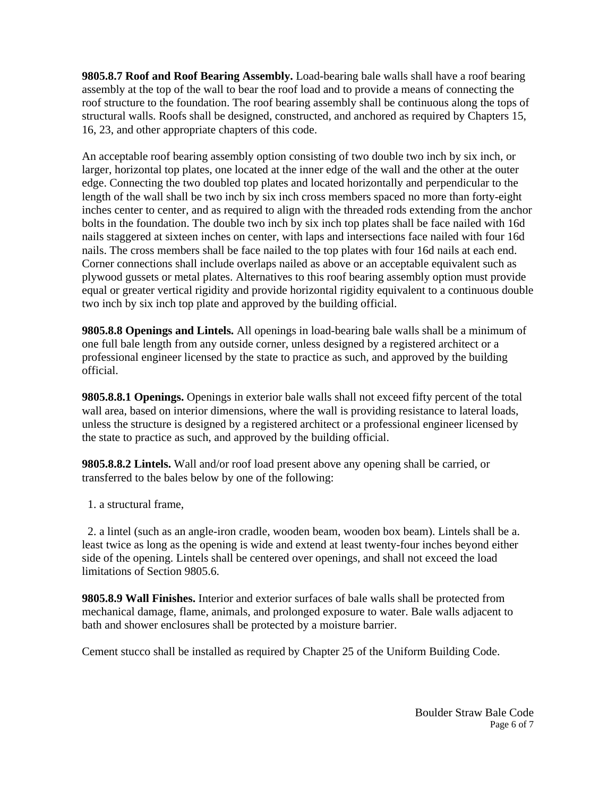**9805.8.7 Roof and Roof Bearing Assembly.** Load-bearing bale walls shall have a roof bearing assembly at the top of the wall to bear the roof load and to provide a means of connecting the roof structure to the foundation. The roof bearing assembly shall be continuous along the tops of structural walls. Roofs shall be designed, constructed, and anchored as required by Chapters 15, 16, 23, and other appropriate chapters of this code.

An acceptable roof bearing assembly option consisting of two double two inch by six inch, or larger, horizontal top plates, one located at the inner edge of the wall and the other at the outer edge. Connecting the two doubled top plates and located horizontally and perpendicular to the length of the wall shall be two inch by six inch cross members spaced no more than forty-eight inches center to center, and as required to align with the threaded rods extending from the anchor bolts in the foundation. The double two inch by six inch top plates shall be face nailed with 16d nails staggered at sixteen inches on center, with laps and intersections face nailed with four 16d nails. The cross members shall be face nailed to the top plates with four 16d nails at each end. Corner connections shall include overlaps nailed as above or an acceptable equivalent such as plywood gussets or metal plates. Alternatives to this roof bearing assembly option must provide equal or greater vertical rigidity and provide horizontal rigidity equivalent to a continuous double two inch by six inch top plate and approved by the building official.

**9805.8.8 Openings and Lintels.** All openings in load-bearing bale walls shall be a minimum of one full bale length from any outside corner, unless designed by a registered architect or a professional engineer licensed by the state to practice as such, and approved by the building official.

**9805.8.8.1 Openings.** Openings in exterior bale walls shall not exceed fifty percent of the total wall area, based on interior dimensions, where the wall is providing resistance to lateral loads, unless the structure is designed by a registered architect or a professional engineer licensed by the state to practice as such, and approved by the building official.

**9805.8.8.2 Lintels.** Wall and/or roof load present above any opening shall be carried, or transferred to the bales below by one of the following:

1. a structural frame,

 2. a lintel (such as an angle-iron cradle, wooden beam, wooden box beam). Lintels shall be a. least twice as long as the opening is wide and extend at least twenty-four inches beyond either side of the opening. Lintels shall be centered over openings, and shall not exceed the load limitations of Section 9805.6.

**9805.8.9 Wall Finishes.** Interior and exterior surfaces of bale walls shall be protected from mechanical damage, flame, animals, and prolonged exposure to water. Bale walls adjacent to bath and shower enclosures shall be protected by a moisture barrier.

Cement stucco shall be installed as required by Chapter 25 of the Uniform Building Code.